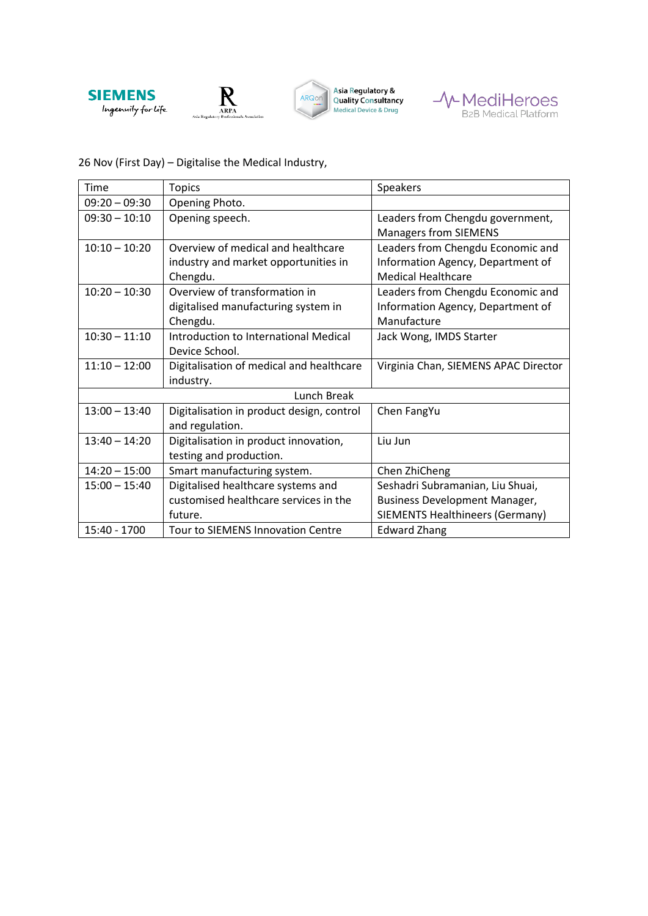







26 Nov (First Day) – Digitalise the Medical Industry,

| Time            | <b>Topics</b>                             | Speakers                               |
|-----------------|-------------------------------------------|----------------------------------------|
| $09:20 - 09:30$ | Opening Photo.                            |                                        |
| $09:30 - 10:10$ | Opening speech.                           | Leaders from Chengdu government,       |
|                 |                                           | <b>Managers from SIEMENS</b>           |
| $10:10 - 10:20$ | Overview of medical and healthcare        | Leaders from Chengdu Economic and      |
|                 | industry and market opportunities in      | Information Agency, Department of      |
|                 | Chengdu.                                  | <b>Medical Healthcare</b>              |
| $10:20 - 10:30$ | Overview of transformation in             | Leaders from Chengdu Economic and      |
|                 | digitalised manufacturing system in       | Information Agency, Department of      |
|                 | Chengdu.                                  | Manufacture                            |
| $10:30 - 11:10$ | Introduction to International Medical     | Jack Wong, IMDS Starter                |
|                 | Device School.                            |                                        |
| $11:10 - 12:00$ | Digitalisation of medical and healthcare  | Virginia Chan, SIEMENS APAC Director   |
|                 | industry.                                 |                                        |
| Lunch Break     |                                           |                                        |
| $13:00 - 13:40$ | Digitalisation in product design, control | Chen FangYu                            |
|                 | and regulation.                           |                                        |
| $13:40 - 14:20$ | Digitalisation in product innovation,     | Liu Jun                                |
|                 | testing and production.                   |                                        |
| $14:20 - 15:00$ | Smart manufacturing system.               | Chen ZhiCheng                          |
| $15:00 - 15:40$ | Digitalised healthcare systems and        | Seshadri Subramanian, Liu Shuai,       |
|                 | customised healthcare services in the     | <b>Business Development Manager,</b>   |
|                 | future.                                   | <b>SIEMENTS Healthineers (Germany)</b> |
| 15:40 - 1700    | <b>Tour to SIEMENS Innovation Centre</b>  | <b>Edward Zhang</b>                    |